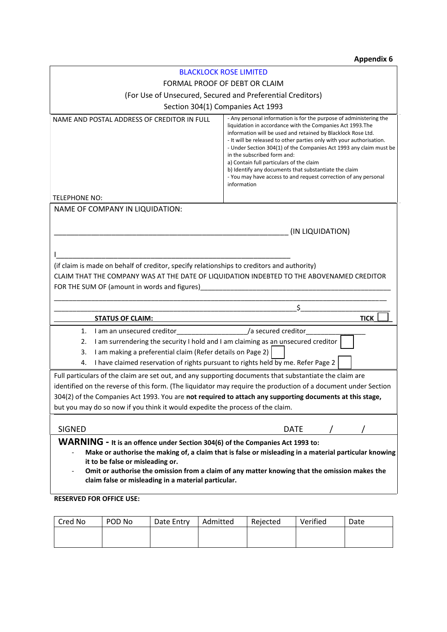## **Appendix 6**

| <b>BLACKLOCK ROSE LIMITED</b>                                                                                                             |                                                                                                                                                                                                                                                                                                                                                                                                                                                                                                                                                                      |  |  |  |
|-------------------------------------------------------------------------------------------------------------------------------------------|----------------------------------------------------------------------------------------------------------------------------------------------------------------------------------------------------------------------------------------------------------------------------------------------------------------------------------------------------------------------------------------------------------------------------------------------------------------------------------------------------------------------------------------------------------------------|--|--|--|
| FORMAL PROOF OF DEBT OR CLAIM                                                                                                             |                                                                                                                                                                                                                                                                                                                                                                                                                                                                                                                                                                      |  |  |  |
| (For Use of Unsecured, Secured and Preferential Creditors)                                                                                |                                                                                                                                                                                                                                                                                                                                                                                                                                                                                                                                                                      |  |  |  |
| Section 304(1) Companies Act 1993                                                                                                         |                                                                                                                                                                                                                                                                                                                                                                                                                                                                                                                                                                      |  |  |  |
| NAME AND POSTAL ADDRESS OF CREDITOR IN FULL                                                                                               | - Any personal information is for the purpose of administering the<br>liquidation in accordance with the Companies Act 1993. The<br>information will be used and retained by Blacklock Rose Ltd.<br>- It will be released to other parties only with your authorisation.<br>- Under Section 304(1) of the Companies Act 1993 any claim must be<br>in the subscribed form and:<br>a) Contain full particulars of the claim<br>b) Identify any documents that substantiate the claim<br>- You may have access to and request correction of any personal<br>information |  |  |  |
| <b>TELEPHONE NO:</b>                                                                                                                      |                                                                                                                                                                                                                                                                                                                                                                                                                                                                                                                                                                      |  |  |  |
| NAME OF COMPANY IN LIQUIDATION:                                                                                                           |                                                                                                                                                                                                                                                                                                                                                                                                                                                                                                                                                                      |  |  |  |
| (IN LIQUIDATION)                                                                                                                          |                                                                                                                                                                                                                                                                                                                                                                                                                                                                                                                                                                      |  |  |  |
|                                                                                                                                           |                                                                                                                                                                                                                                                                                                                                                                                                                                                                                                                                                                      |  |  |  |
|                                                                                                                                           |                                                                                                                                                                                                                                                                                                                                                                                                                                                                                                                                                                      |  |  |  |
| (if claim is made on behalf of creditor, specify relationships to creditors and authority)                                                |                                                                                                                                                                                                                                                                                                                                                                                                                                                                                                                                                                      |  |  |  |
| CLAIM THAT THE COMPANY WAS AT THE DATE OF LIQUIDATION INDEBTED TO THE ABOVENAMED CREDITOR                                                 |                                                                                                                                                                                                                                                                                                                                                                                                                                                                                                                                                                      |  |  |  |
| FOR THE SUM OF (amount in words and figures)                                                                                              |                                                                                                                                                                                                                                                                                                                                                                                                                                                                                                                                                                      |  |  |  |
|                                                                                                                                           |                                                                                                                                                                                                                                                                                                                                                                                                                                                                                                                                                                      |  |  |  |
|                                                                                                                                           |                                                                                                                                                                                                                                                                                                                                                                                                                                                                                                                                                                      |  |  |  |
| <b>STATUS OF CLAIM:</b>                                                                                                                   | <b>TICK</b>                                                                                                                                                                                                                                                                                                                                                                                                                                                                                                                                                          |  |  |  |
| I am an unsecured creditor_<br>1.                                                                                                         | a secured creditor                                                                                                                                                                                                                                                                                                                                                                                                                                                                                                                                                   |  |  |  |
| I am surrendering the security I hold and I am claiming as an unsecured creditor<br>2.                                                    |                                                                                                                                                                                                                                                                                                                                                                                                                                                                                                                                                                      |  |  |  |
| I am making a preferential claim (Refer details on Page 2)<br>3.                                                                          |                                                                                                                                                                                                                                                                                                                                                                                                                                                                                                                                                                      |  |  |  |
| I have claimed reservation of rights pursuant to rights held by me. Refer Page 2<br>4.                                                    |                                                                                                                                                                                                                                                                                                                                                                                                                                                                                                                                                                      |  |  |  |
| Full particulars of the claim are set out, and any supporting documents that substantiate the claim are                                   |                                                                                                                                                                                                                                                                                                                                                                                                                                                                                                                                                                      |  |  |  |
| identified on the reverse of this form. (The liquidator may require the production of a document under Section                            |                                                                                                                                                                                                                                                                                                                                                                                                                                                                                                                                                                      |  |  |  |
| 304(2) of the Companies Act 1993. You are not required to attach any supporting documents at this stage,                                  |                                                                                                                                                                                                                                                                                                                                                                                                                                                                                                                                                                      |  |  |  |
| but you may do so now if you think it would expedite the process of the claim.                                                            |                                                                                                                                                                                                                                                                                                                                                                                                                                                                                                                                                                      |  |  |  |
|                                                                                                                                           |                                                                                                                                                                                                                                                                                                                                                                                                                                                                                                                                                                      |  |  |  |
| <b>SIGNED</b>                                                                                                                             | <b>DATE</b>                                                                                                                                                                                                                                                                                                                                                                                                                                                                                                                                                          |  |  |  |
| WARNING - It is an offence under Section 304(6) of the Companies Act 1993 to:                                                             |                                                                                                                                                                                                                                                                                                                                                                                                                                                                                                                                                                      |  |  |  |
| Make or authorise the making of, a claim that is false or misleading in a material particular knowing<br>it to be false or misleading or. |                                                                                                                                                                                                                                                                                                                                                                                                                                                                                                                                                                      |  |  |  |
|                                                                                                                                           |                                                                                                                                                                                                                                                                                                                                                                                                                                                                                                                                                                      |  |  |  |
| claim false or misleading in a material particular.                                                                                       |                                                                                                                                                                                                                                                                                                                                                                                                                                                                                                                                                                      |  |  |  |
| <b>RESERVED FOR OFFICE USE:</b>                                                                                                           |                                                                                                                                                                                                                                                                                                                                                                                                                                                                                                                                                                      |  |  |  |

| Cred No | POD No | Date Entry | Admitted | Rejected | Verified | Date |
|---------|--------|------------|----------|----------|----------|------|
|         |        |            |          |          |          |      |
|         |        |            |          |          |          |      |